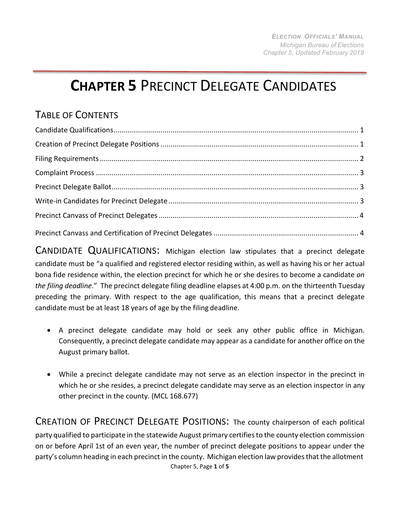## **CHAPTER 5** PRECINCT DELEGATE CANDIDATES

## TABLE OF CONTENTS

<span id="page-0-0"></span>CANDIDATE QUALIFICATIONS: Michigan election law stipulates that a precinct delegate candidate must be "a qualified and registered elector residing within, as well as having his or her actual bona fide residence within, the election precinct for which he or she desires to become a candidate *on the filing deadline.*" The precinct delegate filing deadline elapses at 4:00 p.m. on the thirteenth Tuesday preceding the primary. With respect to the age qualification, this means that a precinct delegate candidate must be at least 18 years of age by the filing deadline.

- A precinct delegate candidate may hold or seek any other public office in Michigan. Consequently, a precinct delegate candidate may appear as a candidate for another office on the August primary ballot.
- While a precinct delegate candidate may not serve as an election inspector in the precinct in which he or she resides, a precinct delegate candidate may serve as an election inspector in any other precinct in the county. (MCL 168.677)

<span id="page-0-1"></span>Chapter 5, Page **1** of **5** CREATION OF PRECINCT DELEGATE POSITIONS: The county chairperson of each political party qualified to participate in the statewide August primary certifiesto the county election commission on or before April 1st of an even year, the number of precinct delegate positions to appear under the party's column heading in each precinct in the county. Michigan election law provides that the allotment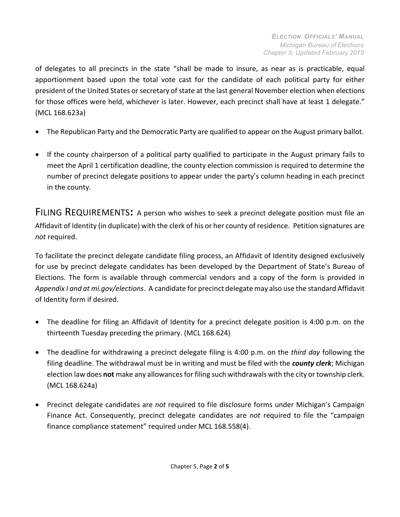of delegates to all precincts in the state "shall be made to insure, as near as is practicable, equal apportionment based upon the total vote cast for the candidate of each political party for either president of the United States or secretary of state at the last general November election when elections for those offices were held, whichever is later. However, each precinct shall have at least 1 delegate." (MCL 168.623a)

- The Republican Party and the Democratic Party are qualified to appear on the August primary ballot.
- If the county chairperson of a political party qualified to participate in the August primary fails to meet the April 1 certification deadline, the county election commission is required to determine the number of precinct delegate positions to appear under the party's column heading in each precinct in the county.

<span id="page-1-0"></span>FILING REQUIREMENTS**:** A person who wishes to seek a precinct delegate position must file an Affidavit of Identity (in duplicate) with the clerk of his or her county of residence. Petition signatures are *not* required.

To facilitate the precinct delegate candidate filing process, an Affidavit of Identity designed exclusively for use by precinct delegate candidates has been developed by the Department of State's Bureau of Elections. The form is available through commercial vendors and a copy of the form is provided in *Appendix I and at mi.gov/elections*. A candidate for precinct delegate may also use the standard Affidavit of Identity form if desired.

- The deadline for filing an Affidavit of Identity for a precinct delegate position is 4:00 p.m. on the thirteenth Tuesday preceding the primary. (MCL 168.624)
- The deadline for withdrawing a precinct delegate filing is 4:00 p.m. on the *third day* following the filing deadline. The withdrawal must be in writing and must be filed with the *county clerk*; Michigan election law does **not** make any allowancesforfiling such withdrawals with the city ortownship clerk. (MCL 168.624a)
- Precinct delegate candidates are *not* required to file disclosure forms under Michigan's Campaign Finance Act. Consequently, precinct delegate candidates are *not* required to file the "campaign finance compliance statement" required under MCL 168.558(4).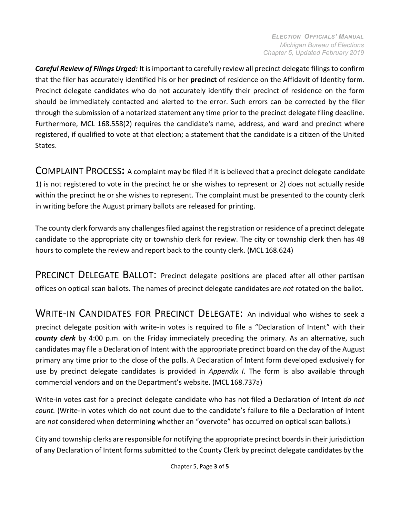*Careful Review of Filings Urged:* It isimportant to carefully review all precinct delegate filingsto confirm that the filer has accurately identified his or her **precinct** of residence on the Affidavit of Identity form. Precinct delegate candidates who do not accurately identify their precinct of residence on the form should be immediately contacted and alerted to the error. Such errors can be corrected by the filer through the submission of a notarized statement any time prior to the precinct delegate filing deadline. Furthermore, MCL 168.558(2) requires the candidate's name, address, and ward and precinct where registered, if qualified to vote at that election; a statement that the candidate is a citizen of the United States.

<span id="page-2-0"></span>COMPLAINT PROCESS**:** A complaint may be filed if it is believed that a precinct delegate candidate 1) is not registered to vote in the precinct he or she wishes to represent or 2) does not actually reside within the precinct he or she wishes to represent. The complaint must be presented to the county clerk in writing before the August primary ballots are released for printing.

The county clerk forwards any challengesfiled against the registration or residence of a precinct delegate candidate to the appropriate city or township clerk for review. The city or township clerk then has 48 hours to complete the review and report back to the county clerk. (MCL 168.624)

<span id="page-2-1"></span>PRECINCT DELEGATE BALLOT: Precinct delegate positions are placed after all other partisan offices on optical scan ballots. The names of precinct delegate candidates are *not* rotated on the ballot.

<span id="page-2-2"></span>WRITE-IN CANDIDATES FOR PRECINCT DELEGATE: An individual who wishes to seek a precinct delegate position with write-in votes is required to file a "Declaration of Intent" with their *county clerk* by 4:00 p.m. on the Friday immediately preceding the primary. As an alternative, such candidates may file a Declaration of Intent with the appropriate precinct board on the day of the August primary any time prior to the close of the polls. A Declaration of Intent form developed exclusively for use by precinct delegate candidates is provided in *Appendix I*. The form is also available through commercial vendors and on the Department's website. (MCL 168.737a)

Write-in votes cast for a precinct delegate candidate who has not filed a Declaration of Intent *do not count.* (Write-in votes which do not count due to the candidate's failure to file a Declaration of Intent are *not* considered when determining whether an "overvote" has occurred on optical scan ballots.)

City and township clerks are responsible for notifying the appropriate precinct boardsin their jurisdiction of any Declaration of Intent forms submitted to the County Clerk by precinct delegate candidates by the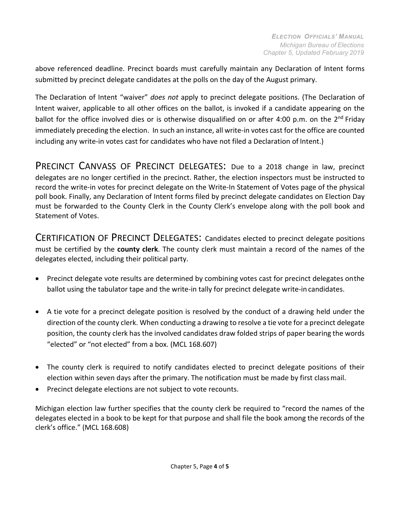above referenced deadline. Precinct boards must carefully maintain any Declaration of Intent forms submitted by precinct delegate candidates at the polls on the day of the August primary.

The Declaration of Intent "waiver" *does not* apply to precinct delegate positions. (The Declaration of Intent waiver, applicable to all other offices on the ballot, is invoked if a candidate appearing on the ballot for the office involved dies or is otherwise disqualified on or after 4:00 p.m. on the  $2<sup>nd</sup>$  Friday immediately preceding the election. In such an instance, all write-in votes cast for the office are counted including any write-in votes cast for candidates who have not filed a Declaration of Intent.)

<span id="page-3-0"></span>PRECINCT CANVASS OF PRECINCT DELEGATES: Due to a 2018 change in law, precinct delegates are no longer certified in the precinct. Rather, the election inspectors must be instructed to record the write-in votes for precinct delegate on the Write-In Statement of Votes page of the physical poll book. Finally, any Declaration of Intent forms filed by precinct delegate candidates on Election Day must be forwarded to the County Clerk in the County Clerk's envelope along with the poll book and Statement of Votes.

CERTIFICATION OF PRECINCT DELEGATES: Candidates elected to precinct delegate positions must be certified by the **county clerk**. The county clerk must maintain a record of the names of the delegates elected, including their political party.

- Precinct delegate vote results are determined by combining votes cast for precinct delegates onthe ballot using the tabulator tape and the write-in tally for precinct delegate write-in candidates.
- A tie vote for a precinct delegate position is resolved by the conduct of a drawing held under the direction of the county clerk. When conducting a drawing to resolve a tie vote for a precinct delegate position, the county clerk has the involved candidates draw folded strips of paper bearing the words "elected" or "not elected" from a box. (MCL 168.607)
- The county clerk is required to notify candidates elected to precinct delegate positions of their election within seven days after the primary. The notification must be made by first classmail.
- Precinct delegate elections are not subject to vote recounts.

Michigan election law further specifies that the county clerk be required to "record the names of the delegates elected in a book to be kept for that purpose and shall file the book among the records of the clerk's office." (MCL 168.608)